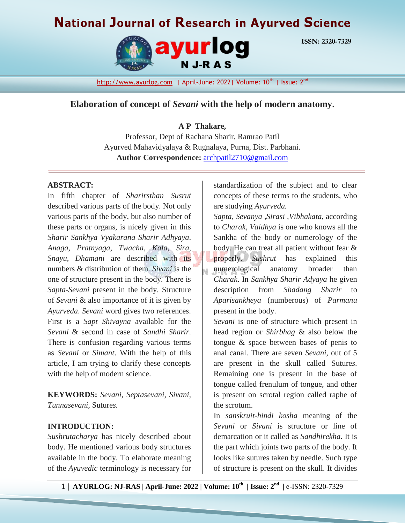# **National Journal of Research in Ayurved Science**



**ISSN: 2320-7329**

# **Elaboration of concept of** *Sevani* **with the help of modern anatomy.**

#### **A P Thakare,**

Professor, Dept of Rachana Sharir, Ramrao Patil Ayurved Mahavidyalaya & Rugnalaya, Purna, Dist. Parbhani. **Author Correspondence:** [archpatil2710@gmail.com](mailto:archpatil2710@gmail.com)

## **ABSTRACT:**

In fifth chapter of *Sharirsthan Susrut* described various parts of the body. Not only various parts of the body, but also number of these parts or organs, is nicely given in this *Sharir Sankhya Vyakarana Sharir Adhyaya*. *Anaga, Pratnyaga, Twacha, Kala, Sira, Snayu, Dhamani* are described with its numbers & distribution of them. *Sivani* is the one of structure present in the body. There is *Sapta-Sevani* present in the body. Structure of *Sevani* & also importance of it is given by *Ayurveda*. *Sevani* word gives two references. First is a *Sapt Shivayna* available for the *Sevani* & second in case of *Sandhi Sharir*. There is confusion regarding various terms as *Sevani* or *Simant*. With the help of this article, I am trying to clarify these concepts with the help of modern science.

**KEYWORDS:** *Sevani, Septasevani, Sivani, Tunnasevani,* Suture*s.*

#### **INTRODUCTION:**

*Sushrutacharya* has nicely described about body. He mentioned various body structures available in the body. To elaborate meaning of the *Ayuvedic* terminology is necessary for standardization of the subject and to clear concepts of these terms to the students, who are studying *Ayurveda.*

*Sapta, Sevanya ,Sirasi ,Vibhakata*, according to *Charak, Vaidhya* is one who knows all the Sankha of the body or numerology of the body. He can treat all patient without fear & properly. *Sushrut* has explained this numerological anatomy broader than *Charak*. In *Sankhya Sharir Adyaya* he given description from *Shadang Sharir* to *Aparisankheya* (numberous) of *Parmanu* present in the body.

*Sevani* is one of structure which present in head region or *Shirbhag* & also below the tongue & space between bases of penis to anal canal. There are seven *Sevani*, out of 5 are present in the skull called Suture*s*. Remaining one is present in the base of tongue called frenulum of tongue, and other is present on scrotal region called raphe of the scrotum.

In *sanskruit-hindi kosha* meaning of the *Sevani* or *Sivani* is structure or line of demarcation or it called as *Sandhirekha*. It is the part which joints two parts of the body. It looks like sutures taken by needle. Such type of structure is present on the skull. It divides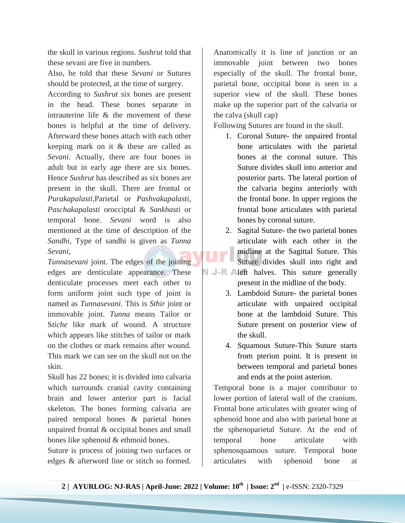the skull in various regions. *Sushrut* told that these sevani are five in numbers.

Also, he told that these *Sevani* or Suture*s* should be protected, at the time of surgery.

According to *Sushrut* six bones are present in the head. These bones separate in intrauterine life & the movement of these bones is helpful at the time of delivery. Afterward these bones attach with each other keeping mark on it & these are called as *Sevani*. Actually, there are four bones in adult but in early age there are six bones. Hence *Sushrut* has described as six bones are present in the skull. There are frontal or *Purakapalasti*,Parietal or *Pashvakapalasti, Paschakapalasti* orocciptal & *Sankhasti* or temporal bone. *Sevani* word is also mentioned at the time of description of the *Sandhi*, Type of sandhi is given as *Tunna Sevani*,

*Tunnasevani* joint. The edges of the joining edges are denticulate appearance. These denticulate processes meet each other to form uniform joint such type of joint is named as *Tunnasevani.* This is *Sthir* joint or immovable joint. *Tunna* means Tailor or S*tiche* like mark of wound. A structure which appears like stitches of tailor or mark on the clothes or mark remains after wound. This mark we can see on the skull not on the skin.

Skull has 22 bones; it is divided into calvaria which surrounds cranial cavity containing brain and lower anterior part is facial skeleton. The bones forming calvaria are paired temporal bones & parietal bones unpaired frontal & occipital bones and small bones like sphenoid & ethmoid bones.

Suture is process of joining two surfaces or edges & afterword line or stitch so formed.

Anatomically it is line of junction or an immovable joint between two bones especially of the skull. The frontal bone, parietal bone, occipital bone is seen in a superior view of the skull. These bones make up the superior part of the calvaria or the calva (skull cap)

Following Suture*s* are found in the skull.

- 1. Coronal Suture- the unpaired frontal bone articulates with the parietal bones at the coronal suture. This Suture divides skull into anterior and posterior parts. The lateral portion of the calvaria begins anteriorly with the frontal bone. In upper regions the frontal bone articulates with parietal bones by coronal suture.
- 2. Sagital Suture- the two parietal bones articulate with each other in the midline at the Sagittal Suture. This Suture divides skull into right and
- N J-R Aleft halves. This suture generally present in the midline of the body.
	- 3. Lambdoid Suture- the parietal bones articulate with unpaired occipital bone at the lambdoid Suture. This Suture present on posterior view of the skull.
	- 4. Squamous Suture-This Suture starts from pterion point. It is present in between temporal and parietal bones and ends at the point asterion.

Temporal bone is a major contributor to lower portion of lateral wall of the cranium. Frontal bone articulates with greater wing of sphenoid bone and also with parietal bone at the sphenoparietal Suture. At the end of temporal bone articulate with sphenosquamous suture. Temporal bone articulates with sphenoid bone at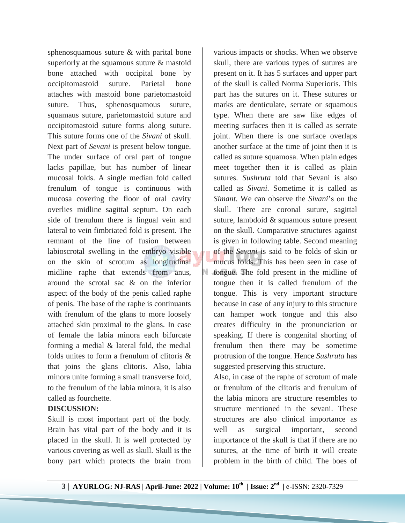sphenosquamous suture & with parital bone superiorly at the squamous suture & mastoid bone attached with occipital bone by occipitomastoid suture. Parietal bone attaches with mastoid bone parietomastoid suture. Thus, sphenosquamous suture, squamaus suture, parietomastoid suture and occipitomastoid suture forms along suture. This suture forms one of the *Sivani* of skull. Next part of *Sevani* is present below tongue. The under surface of oral part of tongue lacks papillae, but has number of linear mucosal folds. A single median fold called frenulum of tongue is continuous with mucosa covering the floor of oral cavity overlies midline sagittal septum. On each side of frenulum there is lingual vein and lateral to vein fimbriated fold is present. The remnant of the line of fusion between labioscrotal swelling in the embryo visible on the skin of scrotum as longitudinal midline raphe that extends from anus, around the scrotal sac & on the inferior aspect of the body of the penis called raphe of penis. The base of the raphe is continuants with frenulum of the glans to more loosely attached skin proximal to the glans. In case of female the labia minora each bifurcate forming a medial & lateral fold, the medial folds unites to form a frenulum of clitoris & that joins the glans clitoris. Also, labia minora unite forming a small transverse fold, to the frenulum of the labia minora, it is also called as fourchette.

# **DISCUSSION:**

Skull is most important part of the body. Brain has vital part of the body and it is placed in the skull. It is well protected by various covering as well as skull. Skull is the bony part which protects the brain from

various impacts or shocks. When we observe skull, there are various types of sutures are present on it. It has 5 surfaces and upper part of the skull is called Norma Superioris. This part has the sutures on it. These sutures or marks are denticulate, serrate or squamous type. When there are saw like edges of meeting surfaces then it is called as serrate joint. When there is one surface overlaps another surface at the time of joint then it is called as suture squamosa. When plain edges meet together then it is called as plain sutures. *Sushruta* told that Sevani is also called as *Sivani*. Sometime it is called as *Simant*. We can observe the *Sivani*'s on the skull. There are coronal suture, sagittal suture, lambdoid & squamous suture present on the skull. Comparative structures against is given in following table. Second meaning of the *Sevani* is said to be folds of skin or mucus folds. This has been seen in case of tongue. The fold present in the midline of tongue then it is called frenulum of the tongue. This is very important structure because in case of any injury to this structure can hamper work tongue and this also creates difficulty in the pronunciation or speaking. If there is congenital shorting of frenulum then there may be sometime protrusion of the tongue. Hence *Sushruta* has suggested preserving this structure.

Also, in case of the raphe of scrotum of male or frenulum of the clitoris and frenulum of the labia minora are structure resembles to structure mentioned in the sevani. These structures are also clinical importance as well as surgical important, second importance of the skull is that if there are no sutures, at the time of birth it will create problem in the birth of child. The boes of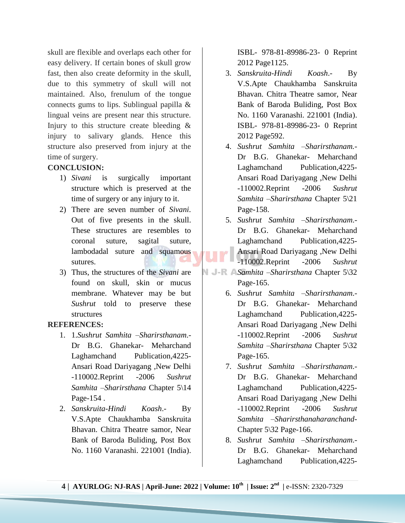skull are flexible and overlaps each other for easy delivery. If certain bones of skull grow fast, then also create deformity in the skull, due to this symmetry of skull will not maintained. Also, frenulum of the tongue connects gums to lips. Sublingual papilla & lingual veins are present near this structure. Injury to this structure create bleeding & injury to salivary glands. Hence this structure also preserved from injury at the time of surgery.

## **CONCLUSION:**

- 1) *Sivani* is surgically important structure which is preserved at the time of surgery or any injury to it.
- 2) There are seven number of *Sivani*. Out of five presents in the skull. These structures are resembles to coronal suture, sagital suture, lambodadal suture and squamous sutures.
- 3) Thus, the structures of the *Sivani* are found on skull, skin or mucus membrane. Whatever may be but *Sushrut* told to preserve these structures

#### **REFERENCES:**

- 1. 1.*Sushrut Samhita* –*Sharirsthanam*.- Dr B.G. Ghanekar- Meharchand Laghamchand Publication,4225- Ansari Road Dariyagang ,New Delhi -110002.Reprint -2006 *Sushrut Samhita –Sharirsthana* Chapter 5\14 Page-154 .
- 2. *Sanskruita-Hindi Koash*.- By V.S.Apte Chaukhamba Sanskruita Bhavan. Chitra Theatre samor, Near Bank of Baroda Buliding, Post Box No. 1160 Varanashi. 221001 (India).

ISBL- 978-81-89986-23- 0 Reprint 2012 Page1125.

- 3. *Sanskruita-Hindi Koash*.- By V.S.Apte Chaukhamba Sanskruita Bhavan. Chitra Theatre samor, Near Bank of Baroda Buliding, Post Box No. 1160 Varanashi. 221001 (India). ISBL- 978-81-89986-23- 0 Reprint 2012 Page592.
- 4. *Sushrut Samhita –Sharirsthanam.-* Dr B.G. Ghanekar- Meharchand Laghamchand Publication,4225- Ansari Road Dariyagang ,New Delhi -110002.Reprint -2006 *Sushrut Samhita –Sharirsthana* Chapter 5\21 Page-158.
- 5. *Sushrut Samhita –Sharirsthanam*.- Dr B.G. Ghanekar- Meharchand Laghamchand Publication,4225- Ansari Road Dariyagang ,New Delhi -110002.Reprint -2006 *Sushrut*
- *Samhita –Sharirsthana* Chapter 5\32 Page-165.
	- 6. *Sushrut Samhita –Sharirsthanam*.- Dr B.G. Ghanekar- Meharchand Laghamchand Publication,4225- Ansari Road Dariyagang ,New Delhi -110002.Reprint -2006 *Sushrut Samhita –Sharirsthana* Chapter 5\32 Page-165.
	- 7. *Sushrut Samhita –Sharirsthanam*.- Dr B.G. Ghanekar- Meharchand Laghamchand Publication,4225- Ansari Road Dariyagang ,New Delhi -110002.Reprint -2006 *Sushrut Samhita –Sharirsthanaharanchand*-Chapter 5\32 Page-166.
	- 8. *Sushrut Samhita –Sharirsthanam*.- Dr B.G. Ghanekar- Meharchand Laghamchand Publication,4225-